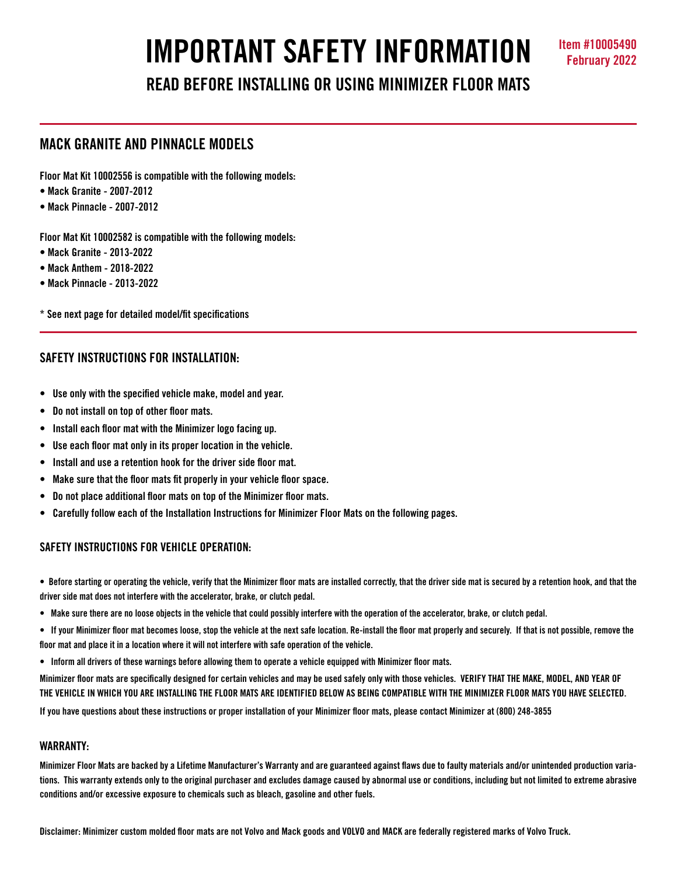# **IMPORTANT SAFETY INFORMATION Item #10005490**

**READ BEFORE INSTALLING OR USING MINIMIZER FLOOR MATS**

## **MACK GRANITE AND PINNACLE MODELS**

**Floor Mat Kit 10002556 is compatible with the following models:**

- **Mack Granite 2007-2012**
- **Mack Pinnacle 2007-2012**

**Floor Mat Kit 10002582 is compatible with the following models:**

- **Mack Granite 2013-2022**
- **Mack Anthem 2018-2022**
- **Mack Pinnacle 2013-2022**

**\* See next page for detailed model/fit specifications**

## **SAFETY INSTRUCTIONS FOR INSTALLATION:**

- **Use only with the specified vehicle make, model and year.**
- **Do not install on top of other floor mats.**
- **Install each floor mat with the Minimizer logo facing up.**
- **Use each floor mat only in its proper location in the vehicle.**
- **Install and use a retention hook for the driver side floor mat.**
- **Make sure that the floor mats fit properly in your vehicle floor space.**
- **Do not place additional floor mats on top of the Minimizer floor mats.**
- **Carefully follow each of the Installation Instructions for Minimizer Floor Mats on the following pages.**

## **SAFETY INSTRUCTIONS FOR VEHICLE OPERATION:**

**• Before starting or operating the vehicle, verify that the Minimizer floor mats are installed correctly, that the driver side mat is secured by a retention hook, and that the driver side mat does not interfere with the accelerator, brake, or clutch pedal.**

- **Make sure there are no loose objects in the vehicle that could possibly interfere with the operation of the accelerator, brake, or clutch pedal.**
- **If your Minimizer floor mat becomes loose, stop the vehicle at the next safe location. Re-install the floor mat properly and securely. If that is not possible, remove the floor mat and place it in a location where it will not interfere with safe operation of the vehicle.**
- **Inform all drivers of these warnings before allowing them to operate a vehicle equipped with Minimizer floor mats.**

**Minimizer floor mats are specifically designed for certain vehicles and may be used safely only with those vehicles. VERIFY THAT THE MAKE, MODEL, AND YEAR OF THE VEHICLE IN WHICH YOU ARE INSTALLING THE FLOOR MATS ARE IDENTIFIED BELOW AS BEING COMPATIBLE WITH THE MINIMIZER FLOOR MATS YOU HAVE SELECTED.** 

**If you have questions about these instructions or proper installation of your Minimizer floor mats, please contact Minimizer at (800) 248-3855**

## **WARRANTY:**

**Minimizer Floor Mats are backed by a Lifetime Manufacturer's Warranty and are guaranteed against flaws due to faulty materials and/or unintended production variations. This warranty extends only to the original purchaser and excludes damage caused by abnormal use or conditions, including but not limited to extreme abrasive conditions and/or excessive exposure to chemicals such as bleach, gasoline and other fuels.**

**Disclaimer: Minimizer custom molded floor mats are not Volvo and Mack goods and VOLVO and MACK are federally registered marks of Volvo Truck.**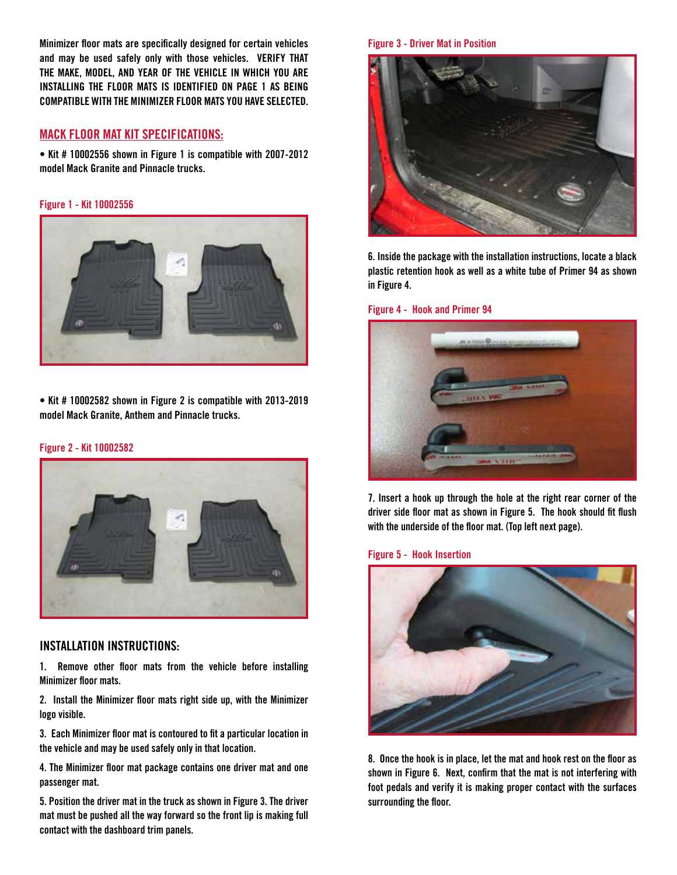**Minimizer floor mats are specifically designed for certain vehicles and may be used safely only with those vehicles. VERIFY THAT THE MAKE, MODEL, AND YEAR OF THE VEHICLE IN WHICH YOU ARE INSTALLING THE FLOOR MATS IS IDENTIFIED ON PAGE 1 AS BEING COMPATIBLE WITH THE MINIMIZER FLOOR MATS YOU HAVE SELECTED.** 

## **MACK FLOOR MAT KIT SPECIFICATIONS:**

**• Kit # 10002556 shown in Figure 1 is compatible with 2007-2012 model Mack Granite and Pinnacle trucks.** 

### **Figure 1 - Kit 10002556**



**• Kit # 10002582 shown in Figure 2 is compatible with 2013-2019 model Mack Granite, Anthem and Pinnacle trucks.** 

#### **Figure 2 - Kit 10002582**



## **INSTALLATION INSTRUCTIONS:**

**1. Remove other floor mats from the vehicle before installing Minimizer floor mats.**

**2. Install the Minimizer floor mats right side up, with the Minimizer logo visible.**

**3. Each Minimizer floor mat is contoured to fit a particular location in the vehicle and may be used safely only in that location.** 

**4. The Minimizer floor mat package contains one driver mat and one passenger mat.** 

**5. Position the driver mat in the truck as shown in Figure 3. The driver mat must be pushed all the way forward so the front lip is making full contact with the dashboard trim panels.** 

### **Figure 3 - Driver Mat in Position**



**6. Inside the package with the installation instructions, locate a black plastic retention hook as well as a white tube of Primer 94 as shown in Figure 4.** 

## **Figure 4 - Hook and Primer 94**



**7. Insert a hook up through the hole at the right rear corner of the driver side floor mat as shown in Figure 5. The hook should fit flush with the underside of the floor mat. (Top left next page).**

### **Figure 5 - Hook Insertion**



**8. Once the hook is in place, let the mat and hook rest on the floor as shown in Figure 6. Next, confirm that the mat is not interfering with foot pedals and verify it is making proper contact with the surfaces surrounding the floor.**